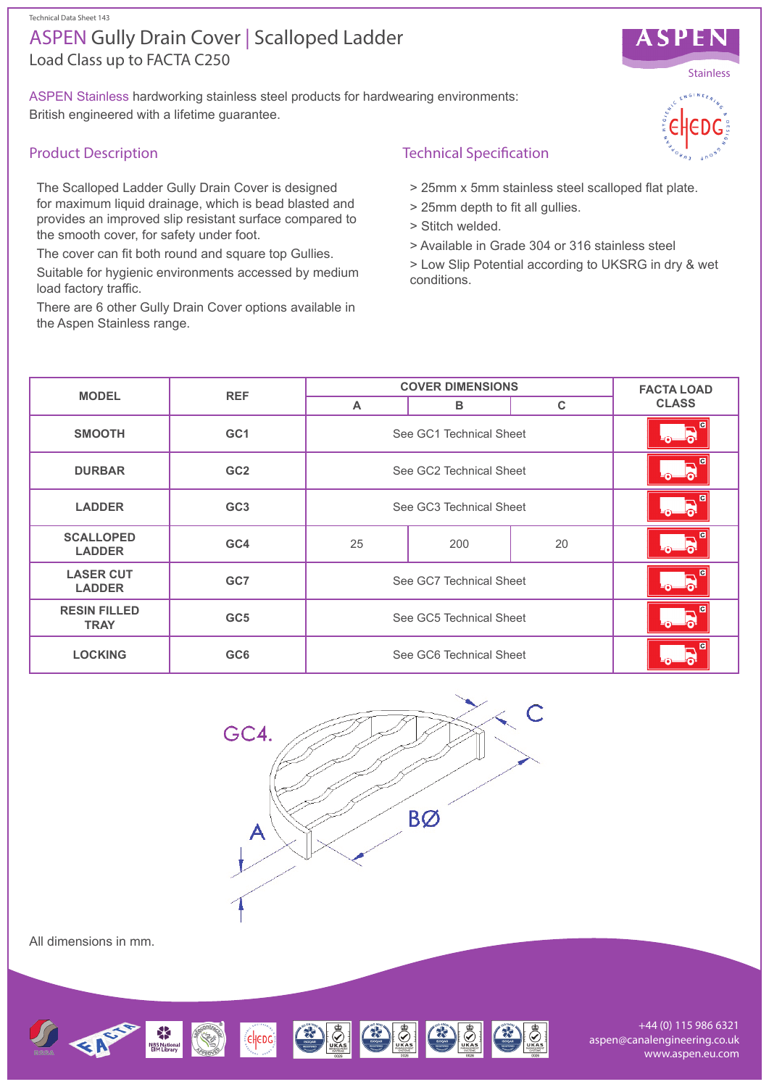Technical Data Sheet 143

# Load Class up to FACTA C250 ASPEN Gully Drain Cover | Scalloped Ladder

ASPEN Stainless hardworking stainless steel products for hardwearing environments: British engineered with a lifetime guarantee.

## Product Description

The Scalloped Ladder Gully Drain Cover is designed for maximum liquid drainage, which is bead blasted and provides an improved slip resistant surface compared to the smooth cover, for safety under foot.

The cover can fit both round and square top Gullies.

Suitable for hygienic environments accessed by medium load factory traffic.

There are 6 other Gully Drain Cover options available in the Aspen Stainless range.

### Technical Specification

- > 25mm x 5mm stainless steel scalloped flat plate.
- > 25mm depth to fit all gullies.
- > Stitch welded.
- > Available in Grade 304 or 316 stainless steel
- > Low Slip Potential according to UKSRG in dry & wet conditions.

| <b>MODEL</b>                       | <b>REF</b>      | <b>COVER DIMENSIONS</b> |     |    | <b>FACTA LOAD</b>            |
|------------------------------------|-----------------|-------------------------|-----|----|------------------------------|
|                                    |                 | A                       | в   | C  | <b>CLASS</b>                 |
| <b>SMOOTH</b>                      | GC <sub>1</sub> | See GC1 Technical Sheet |     |    | $\odot$                      |
| <b>DURBAR</b>                      | GC <sub>2</sub> | See GC2 Technical Sheet |     |    | $\overline{c}$<br>$5 - 5$    |
| <b>LADDER</b>                      | GC <sub>3</sub> | See GC3 Technical Sheet |     |    | $\overline{G}$<br><u>ം പ</u> |
| <b>SCALLOPED</b><br><b>LADDER</b>  | GC4             | 25                      | 200 | 20 | $\overline{a}$<br>0.         |
| <b>LASER CUT</b><br><b>LADDER</b>  | GC7             | See GC7 Technical Sheet |     |    | ∩–                           |
| <b>RESIN FILLED</b><br><b>TRAY</b> | GC <sub>5</sub> | See GC5 Technical Sheet |     |    | $\overline{\bullet}$         |
| <b>LOCKING</b>                     | GC <sub>6</sub> | See GC6 Technical Sheet |     |    |                              |



All dimensions in mm.



+44 (0) 115 986 6321 aspen@canalengineering.co.uk www.aspen.eu.com